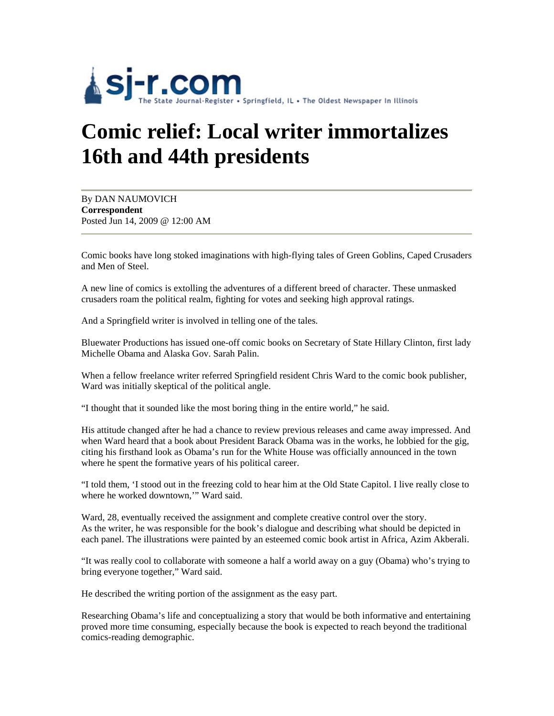

## **Comic relief: Local writer immortalizes 16th and 44th presidents**

By DAN NAUMOVICH **Correspondent** Posted Jun 14, 2009 @ 12:00 AM

Comic books have long stoked imaginations with high-flying tales of Green Goblins, Caped Crusaders and Men of Steel.

A new line of comics is extolling the adventures of a different breed of character. These unmasked crusaders roam the political realm, fighting for votes and seeking high approval ratings.

And a Springfield writer is involved in telling one of the tales.

Bluewater Productions has issued one-off comic books on Secretary of State Hillary Clinton, first lady Michelle Obama and Alaska Gov. Sarah Palin.

When a fellow freelance writer referred Springfield resident Chris Ward to the comic book publisher, Ward was initially skeptical of the political angle.

"I thought that it sounded like the most boring thing in the entire world," he said.

His attitude changed after he had a chance to review previous releases and came away impressed. And when Ward heard that a book about President Barack Obama was in the works, he lobbied for the gig, citing his firsthand look as Obama's run for the White House was officially announced in the town where he spent the formative years of his political career.

"I told them, 'I stood out in the freezing cold to hear him at the Old State Capitol. I live really close to where he worked downtown,'" Ward said.

Ward, 28, eventually received the assignment and complete creative control over the story. As the writer, he was responsible for the book's dialogue and describing what should be depicted in each panel. The illustrations were painted by an esteemed comic book artist in Africa, Azim Akberali.

"It was really cool to collaborate with someone a half a world away on a guy (Obama) who's trying to bring everyone together," Ward said.

He described the writing portion of the assignment as the easy part.

Researching Obama's life and conceptualizing a story that would be both informative and entertaining proved more time consuming, especially because the book is expected to reach beyond the traditional comics-reading demographic.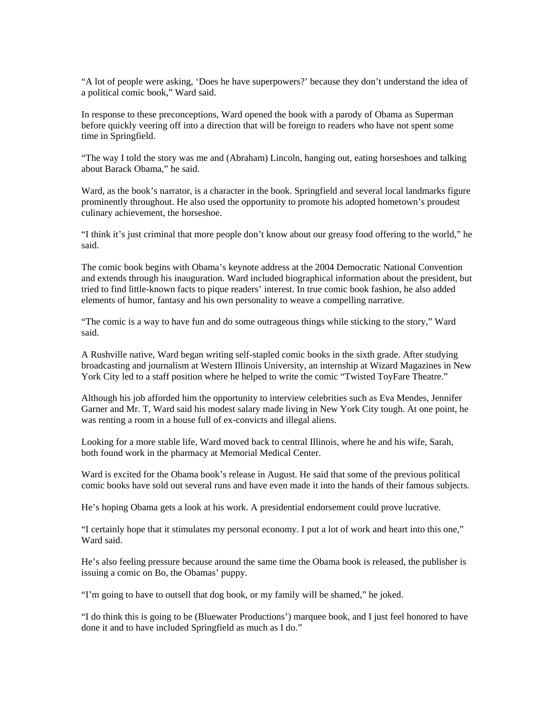"A lot of people were asking, 'Does he have superpowers?' because they don't understand the idea of a political comic book," Ward said.

In response to these preconceptions, Ward opened the book with a parody of Obama as Superman before quickly veering off into a direction that will be foreign to readers who have not spent some time in Springfield.

"The way I told the story was me and (Abraham) Lincoln, hanging out, eating horseshoes and talking about Barack Obama," he said.

Ward, as the book's narrator, is a character in the book. Springfield and several local landmarks figure prominently throughout. He also used the opportunity to promote his adopted hometown's proudest culinary achievement, the horseshoe.

"I think it's just criminal that more people don't know about our greasy food offering to the world," he said.

The comic book begins with Obama's keynote address at the 2004 Democratic National Convention and extends through his inauguration. Ward included biographical information about the president, but tried to find little-known facts to pique readers' interest. In true comic book fashion, he also added elements of humor, fantasy and his own personality to weave a compelling narrative.

"The comic is a way to have fun and do some outrageous things while sticking to the story," Ward said.

A Rushville native, Ward began writing self-stapled comic books in the sixth grade. After studying broadcasting and journalism at Western Illinois University, an internship at Wizard Magazines in New York City led to a staff position where he helped to write the comic "Twisted ToyFare Theatre."

Although his job afforded him the opportunity to interview celebrities such as Eva Mendes, Jennifer Garner and Mr. T, Ward said his modest salary made living in New York City tough. At one point, he was renting a room in a house full of ex-convicts and illegal aliens.

Looking for a more stable life, Ward moved back to central Illinois, where he and his wife, Sarah, both found work in the pharmacy at Memorial Medical Center.

Ward is excited for the Obama book's release in August. He said that some of the previous political comic books have sold out several runs and have even made it into the hands of their famous subjects.

He's hoping Obama gets a look at his work. A presidential endorsement could prove lucrative.

"I certainly hope that it stimulates my personal economy. I put a lot of work and heart into this one," Ward said.

He's also feeling pressure because around the same time the Obama book is released, the publisher is issuing a comic on Bo, the Obamas' puppy.

"I'm going to have to outsell that dog book, or my family will be shamed," he joked.

"I do think this is going to be (Bluewater Productions') marquee book, and I just feel honored to have done it and to have included Springfield as much as I do."